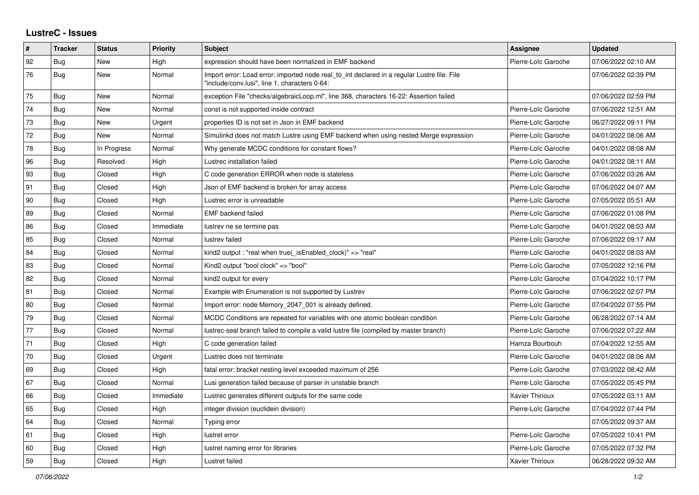## **LustreC - Issues**

| ∦  | <b>Tracker</b> | <b>Status</b> | <b>Priority</b> | <b>Subject</b>                                                                                                                               | <b>Assignee</b>        | <b>Updated</b>      |
|----|----------------|---------------|-----------------|----------------------------------------------------------------------------------------------------------------------------------------------|------------------------|---------------------|
| 92 | Bug            | New           | High            | expression should have been normalized in EMF backend                                                                                        | Pierre-Loïc Garoche    | 07/06/2022 02:10 AM |
| 76 | <b>Bug</b>     | <b>New</b>    | Normal          | Import error: Load error: imported node real to int declared in a regular Lustre file. File<br>"include/conv.lusi", line 1, characters 0-64: |                        | 07/06/2022 02:39 PM |
| 75 | Bug            | New           | Normal          | exception File "checks/algebraicLoop.ml", line 368, characters 16-22: Assertion failed                                                       |                        | 07/06/2022 02:59 PM |
| 74 | <b>Bug</b>     | New           | Normal          | const is not supported inside contract                                                                                                       | Pierre-Loïc Garoche    | 07/06/2022 12:51 AM |
| 73 | <b>Bug</b>     | New           | Urgent          | properties ID is not set in Json in EMF backend                                                                                              | Pierre-Loïc Garoche    | 06/27/2022 09:11 PM |
| 72 | <b>Bug</b>     | New           | Normal          | Simulinkd does not match Lustre using EMF backend when using nested Merge expression                                                         | Pierre-Loïc Garoche    | 04/01/2022 08:06 AM |
| 78 | Bug            | In Progress   | Normal          | Why generate MCDC conditions for constant flows?                                                                                             | Pierre-Loïc Garoche    | 04/01/2022 08:08 AM |
| 96 | <b>Bug</b>     | Resolved      | High            | Lustrec installation failed                                                                                                                  | Pierre-Loïc Garoche    | 04/01/2022 08:11 AM |
| 93 | Bug            | Closed        | High            | C code generation ERROR when node is stateless                                                                                               | Pierre-Loïc Garoche    | 07/06/2022 03:26 AM |
| 91 | <b>Bug</b>     | Closed        | High            | Json of EMF backend is broken for array access                                                                                               | Pierre-Loïc Garoche    | 07/06/2022 04:07 AM |
| 90 | Bug            | Closed        | High            | Lustrec error is unreadable                                                                                                                  | Pierre-Loïc Garoche    | 07/05/2022 05:51 AM |
| 89 | Bug            | Closed        | Normal          | <b>EMF</b> backend failed                                                                                                                    | Pierre-Loïc Garoche    | 07/06/2022 01:08 PM |
| 86 | <b>Bug</b>     | Closed        | Immediate       | lustrev ne se termine pas                                                                                                                    | Pierre-Loïc Garoche    | 04/01/2022 08:03 AM |
| 85 | <b>Bug</b>     | Closed        | Normal          | lustrev failed                                                                                                                               | Pierre-Loïc Garoche    | 07/06/2022 09:17 AM |
| 84 | Bug            | Closed        | Normal          | kind2 output : "real when true( is Enabled clock)" = > "real"                                                                                | Pierre-Loïc Garoche    | 04/01/2022 08:03 AM |
| 83 | Bug            | Closed        | Normal          | Kind2 output "bool clock" => "bool"                                                                                                          | Pierre-Loïc Garoche    | 07/05/2022 12:16 PM |
| 82 | Bug            | Closed        | Normal          | kind2 output for every                                                                                                                       | Pierre-Loïc Garoche    | 07/04/2022 10:17 PM |
| 81 | Bug            | Closed        | Normal          | Example with Enumeration is not supported by Lustrev                                                                                         | Pierre-Loïc Garoche    | 07/06/2022 02:07 PM |
| 80 | <b>Bug</b>     | Closed        | Normal          | Import error: node Memory_2047_001 is already defined.                                                                                       | Pierre-Loïc Garoche    | 07/04/2022 07:55 PM |
| 79 | Bug            | Closed        | Normal          | MCDC Conditions are repeated for variables with one atomic boolean condition                                                                 | Pierre-Loïc Garoche    | 06/28/2022 07:14 AM |
| 77 | Bug            | Closed        | Normal          | lustrec-seal branch failed to compile a valid lustre file (compiled by master branch)                                                        | Pierre-Loïc Garoche    | 07/06/2022 07:22 AM |
| 71 | <b>Bug</b>     | Closed        | High            | C code generation failed                                                                                                                     | Hamza Bourbouh         | 07/04/2022 12:55 AM |
| 70 | <b>Bug</b>     | Closed        | Urgent          | Lustrec does not terminate                                                                                                                   | Pierre-Loïc Garoche    | 04/01/2022 08:06 AM |
| 69 | <b>Bug</b>     | Closed        | High            | fatal error: bracket nesting level exceeded maximum of 256                                                                                   | Pierre-Loïc Garoche    | 07/03/2022 08:42 AM |
| 67 | Bug            | Closed        | Normal          | Lusi generation failed because of parser in unstable branch                                                                                  | Pierre-Loïc Garoche    | 07/05/2022 05:45 PM |
| 66 | <b>Bug</b>     | Closed        | Immediate       | Lustrec generates different outputs for the same code                                                                                        | Xavier Thirioux        | 07/05/2022 03:11 AM |
| 65 | <b>Bug</b>     | Closed        | High            | integer division (euclidein division)                                                                                                        | Pierre-Loïc Garoche    | 07/04/2022 07:44 PM |
| 64 | Bug            | Closed        | Normal          | Typing error                                                                                                                                 |                        | 07/05/2022 09:37 AM |
| 61 | Bug            | Closed        | High            | lustret error                                                                                                                                | Pierre-Loïc Garoche    | 07/05/2022 10:41 PM |
| 60 | <b>Bug</b>     | Closed        | High            | lustret naming error for libraries                                                                                                           | Pierre-Loïc Garoche    | 07/05/2022 07:32 PM |
| 59 | Bug            | Closed        | High            | Lustret failed                                                                                                                               | <b>Xavier Thirioux</b> | 06/28/2022 09:32 AM |